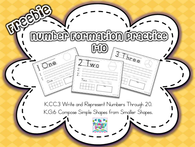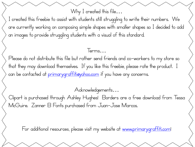Why I created this file...

I created this freebie to assist with students still struggling to write their numbers. We are currently working on composing simple shapes with smaller shapes so I decided to add an images to provide struggling students with a visual of this standard.

Terms…

Please do not distribute this file but rather send friends and co-workers to my store so that they may download themselves. If you like this freebie, please rate the product. I can be contacted at primarygraffitieyahoo.com if you have any concerns.

Acknowledgements…

Clipart is purchased through Ashley Hughes! Borders are a free download from Tessa McGuire. Zanner B Fonts purchased from Juan-Jose Marcos.

For additional resources, please visit my website at [www.primarygraffiti.com!](http://www.primarygraffiti.com/)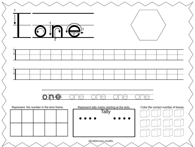|                                         | $\overline{2}$ |                                                                |                                                             |   |                  |                                         |
|-----------------------------------------|----------------|----------------------------------------------------------------|-------------------------------------------------------------|---|------------------|-----------------------------------------|
| ۰.                                      |                |                                                                |                                                             |   |                  |                                         |
| ۰                                       |                |                                                                |                                                             |   |                  |                                         |
|                                         |                | $\overline{\mathbb{CP}}$<br><b>The Second</b><br>$\mathcal{L}$ | $\overline{\mathbb{CP}}$                                    | T | $\sum_{i=1}^{n}$ |                                         |
| Represent the number in the tens frame. |                |                                                                | Represent tally marks starting at the dots.<br><b>Tally</b> |   |                  | Color the correct number of boxes.<br>戸 |
|                                         |                |                                                                |                                                             |   |                  |                                         |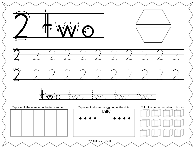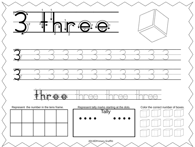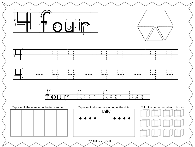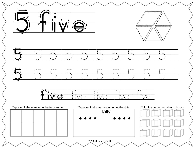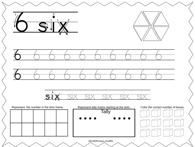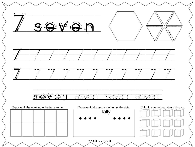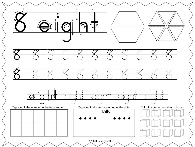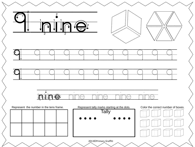